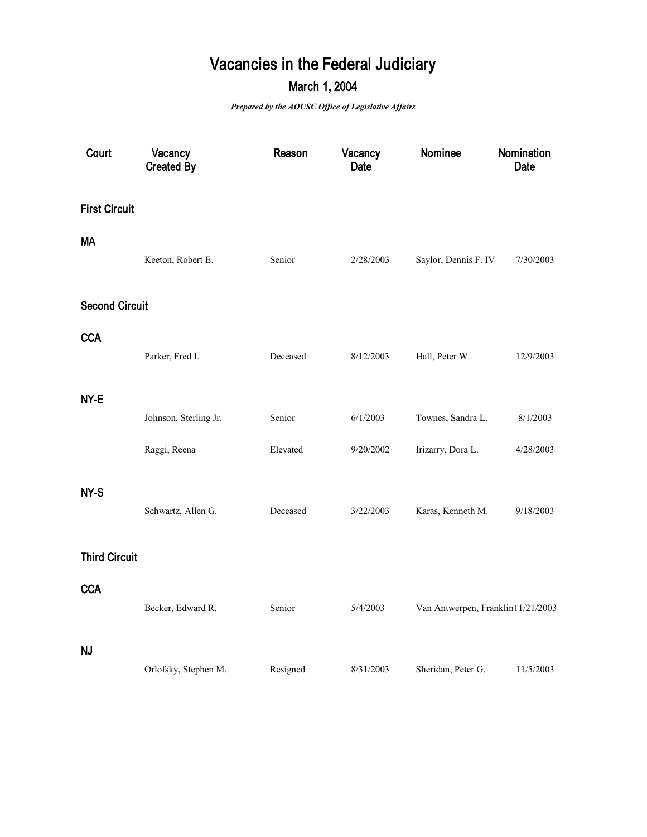## **Vacancies in the Federal Judiciary**

## **March 1, 2004**

*Prepared by the AOUSC Office of Legislative Affairs*

| Court                 | Vacancy<br><b>Created By</b> | Reason   | Vacancy<br>Date | Nominee                           | Nomination<br><b>Date</b> |
|-----------------------|------------------------------|----------|-----------------|-----------------------------------|---------------------------|
| <b>First Circuit</b>  |                              |          |                 |                                   |                           |
| <b>MA</b>             | Keeton, Robert E.            | Senior   | 2/28/2003       | Saylor, Dennis F. IV              | 7/30/2003                 |
| <b>Second Circuit</b> |                              |          |                 |                                   |                           |
| <b>CCA</b>            | Parker, Fred I.              | Deceased | 8/12/2003       | Hall, Peter W.                    | 12/9/2003                 |
| NY-E                  |                              |          |                 |                                   |                           |
|                       | Johnson, Sterling Jr.        | Senior   | 6/1/2003        | Townes, Sandra L.                 | 8/1/2003                  |
|                       | Raggi, Reena                 | Elevated | 9/20/2002       | Irizarry, Dora L.                 | 4/28/2003                 |
| NY-S                  | Schwartz, Allen G.           | Deceased | 3/22/2003       | Karas, Kenneth M.                 | 9/18/2003                 |
| <b>Third Circuit</b>  |                              |          |                 |                                   |                           |
| <b>CCA</b>            | Becker, Edward R.            | Senior   | 5/4/2003        | Van Antwerpen, Franklin11/21/2003 |                           |
| <b>NJ</b>             | Orlofsky, Stephen M.         | Resigned | 8/31/2003       | Sheridan, Peter G.                | 11/5/2003                 |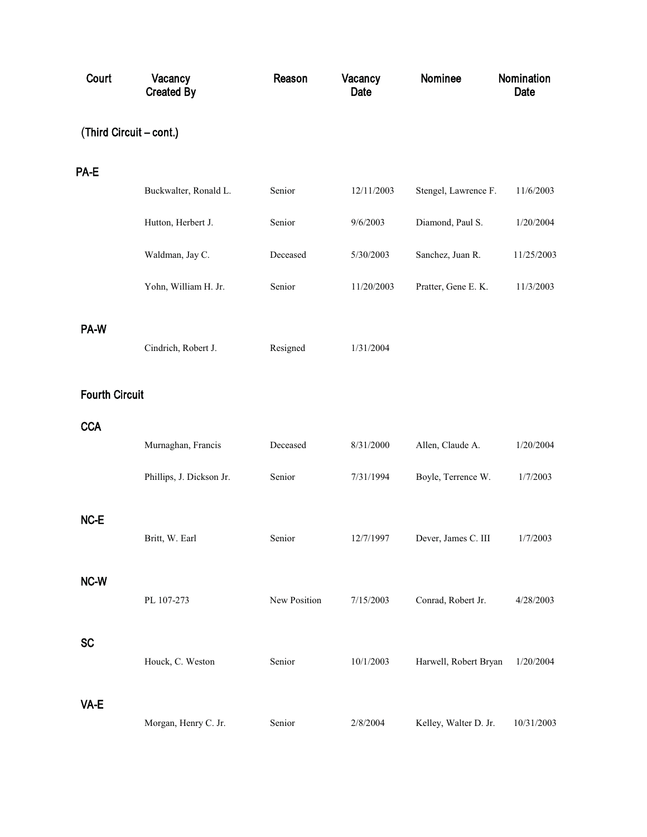| Court                   | Vacancy<br><b>Created By</b> | Reason       | Vacancy<br>Date | Nominee               | Nomination<br>Date |
|-------------------------|------------------------------|--------------|-----------------|-----------------------|--------------------|
| (Third Circuit – cont.) |                              |              |                 |                       |                    |
| PA-E                    |                              |              |                 |                       |                    |
|                         | Buckwalter, Ronald L.        | Senior       | 12/11/2003      | Stengel, Lawrence F.  | 11/6/2003          |
|                         | Hutton, Herbert J.           | Senior       | 9/6/2003        | Diamond, Paul S.      | 1/20/2004          |
|                         | Waldman, Jay C.              | Deceased     | 5/30/2003       | Sanchez, Juan R.      | 11/25/2003         |
|                         | Yohn, William H. Jr.         | Senior       | 11/20/2003      | Pratter, Gene E. K.   | 11/3/2003          |
| PA-W                    |                              |              |                 |                       |                    |
|                         | Cindrich, Robert J.          | Resigned     | 1/31/2004       |                       |                    |
| <b>Fourth Circuit</b>   |                              |              |                 |                       |                    |
| <b>CCA</b>              |                              |              |                 |                       |                    |
|                         | Murnaghan, Francis           | Deceased     | 8/31/2000       | Allen, Claude A.      | 1/20/2004          |
|                         | Phillips, J. Dickson Jr.     | Senior       | 7/31/1994       | Boyle, Terrence W.    | 1/7/2003           |
| NC-E                    |                              |              |                 |                       |                    |
|                         | Britt, W. Earl               | Senior       | 12/7/1997       | Dever, James C. III   | 1/7/2003           |
| NC-W                    |                              |              |                 |                       |                    |
|                         | PL 107-273                   | New Position | 7/15/2003       | Conrad, Robert Jr.    | 4/28/2003          |
| <b>SC</b>               |                              |              |                 |                       |                    |
|                         | Houck, C. Weston             | Senior       | 10/1/2003       | Harwell, Robert Bryan | 1/20/2004          |
| VA-E                    |                              |              |                 |                       |                    |
|                         | Morgan, Henry C. Jr.         | Senior       | 2/8/2004        | Kelley, Walter D. Jr. | 10/31/2003         |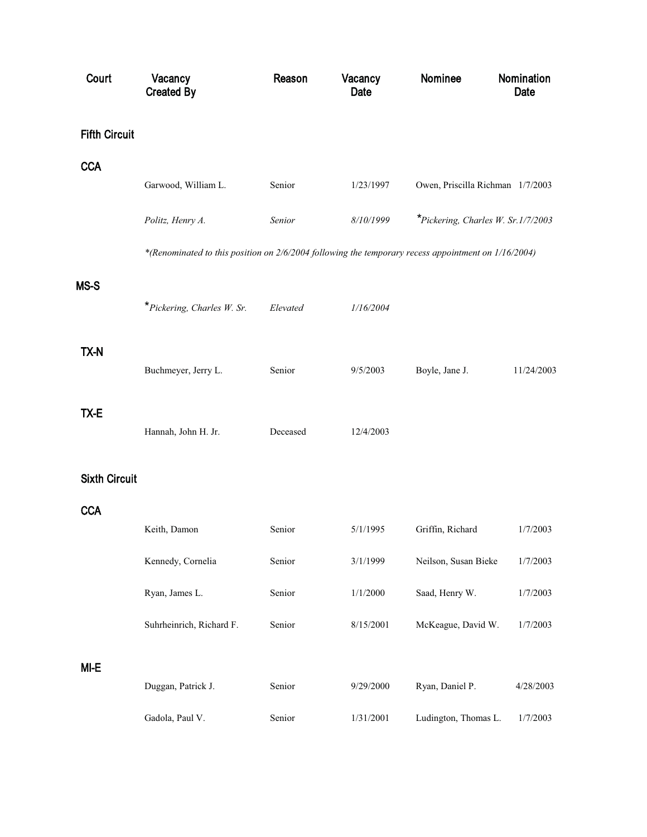| Court                | Vacancy<br><b>Created By</b>                                                                        | Reason   | Vacancy<br>Date | Nominee                                   | Nomination<br>Date |
|----------------------|-----------------------------------------------------------------------------------------------------|----------|-----------------|-------------------------------------------|--------------------|
| <b>Fifth Circuit</b> |                                                                                                     |          |                 |                                           |                    |
| <b>CCA</b>           |                                                                                                     |          |                 |                                           |                    |
|                      | Garwood, William L.                                                                                 | Senior   | 1/23/1997       | Owen, Priscilla Richman 1/7/2003          |                    |
|                      | Politz, Henry A.                                                                                    | Senior   | 8/10/1999       | <i>*Pickering, Charles W. Sr.1/7/2003</i> |                    |
|                      | *(Renominated to this position on 2/6/2004 following the temporary recess appointment on 1/16/2004) |          |                 |                                           |                    |
| MS-S                 |                                                                                                     |          |                 |                                           |                    |
|                      | *Pickering, Charles W. Sr.                                                                          | Elevated | 1/16/2004       |                                           |                    |
|                      |                                                                                                     |          |                 |                                           |                    |
| TX-N                 | Buchmeyer, Jerry L.                                                                                 | Senior   | 9/5/2003        | Boyle, Jane J.                            | 11/24/2003         |
| TX-E                 |                                                                                                     |          |                 |                                           |                    |
|                      | Hannah, John H. Jr.                                                                                 | Deceased | 12/4/2003       |                                           |                    |
| <b>Sixth Circuit</b> |                                                                                                     |          |                 |                                           |                    |
|                      |                                                                                                     |          |                 |                                           |                    |
| <b>CCA</b>           | Keith, Damon                                                                                        | Senior   | 5/1/1995        | Griffin, Richard                          | 1/7/2003           |
|                      | Kennedy, Cornelia                                                                                   | Senior   | 3/1/1999        | Neilson, Susan Bieke                      | 1/7/2003           |
|                      | Ryan, James L.                                                                                      | Senior   | 1/1/2000        | Saad, Henry W.                            | 1/7/2003           |
|                      | Suhrheinrich, Richard F.                                                                            | Senior   | 8/15/2001       | McKeague, David W.                        | 1/7/2003           |
|                      |                                                                                                     |          |                 |                                           |                    |
| MI-E                 | Duggan, Patrick J.                                                                                  | Senior   | 9/29/2000       | Ryan, Daniel P.                           | 4/28/2003          |
|                      | Gadola, Paul V.                                                                                     | Senior   | 1/31/2001       | Ludington, Thomas L.                      | 1/7/2003           |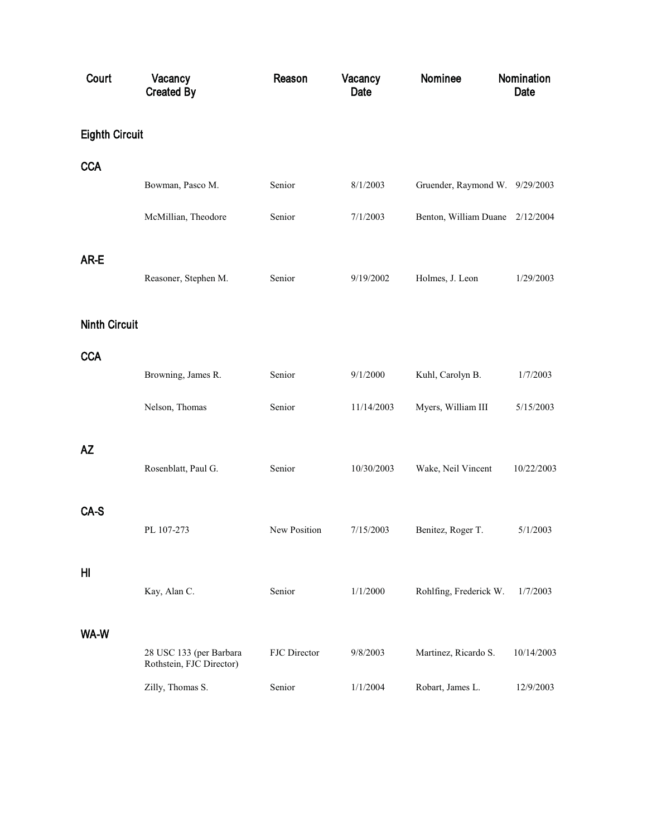| Court                 | Vacancy<br><b>Created By</b>                        | Reason       | Vacancy<br>Date | Nominee                         | Nomination<br>Date |
|-----------------------|-----------------------------------------------------|--------------|-----------------|---------------------------------|--------------------|
| <b>Eighth Circuit</b> |                                                     |              |                 |                                 |                    |
| <b>CCA</b>            |                                                     |              |                 |                                 |                    |
|                       | Bowman, Pasco M.                                    | Senior       | 8/1/2003        | Gruender, Raymond W. 9/29/2003  |                    |
|                       | McMillian, Theodore                                 | Senior       | 7/1/2003        | Benton, William Duane 2/12/2004 |                    |
| AR-E                  |                                                     |              |                 |                                 |                    |
|                       | Reasoner, Stephen M.                                | Senior       | 9/19/2002       | Holmes, J. Leon                 | 1/29/2003          |
| <b>Ninth Circuit</b>  |                                                     |              |                 |                                 |                    |
| <b>CCA</b>            |                                                     |              |                 |                                 |                    |
|                       | Browning, James R.                                  | Senior       | 9/1/2000        | Kuhl, Carolyn B.                | 1/7/2003           |
|                       | Nelson, Thomas                                      | Senior       | 11/14/2003      | Myers, William III              | 5/15/2003          |
| ΑZ                    |                                                     |              |                 |                                 |                    |
|                       | Rosenblatt, Paul G.                                 | Senior       | 10/30/2003      | Wake, Neil Vincent              | 10/22/2003         |
| CA-S                  |                                                     |              |                 |                                 |                    |
|                       | PL 107-273                                          | New Position | 7/15/2003       | Benitez, Roger T.               | 5/1/2003           |
| HI                    |                                                     |              |                 |                                 |                    |
|                       | Kay, Alan C.                                        | Senior       | 1/1/2000        | Rohlfing, Frederick W.          | 1/7/2003           |
| WA-W                  |                                                     |              |                 |                                 |                    |
|                       | 28 USC 133 (per Barbara<br>Rothstein, FJC Director) | FJC Director | 9/8/2003        | Martinez, Ricardo S.            | 10/14/2003         |
|                       | Zilly, Thomas S.                                    | Senior       | 1/1/2004        | Robart, James L.                | 12/9/2003          |